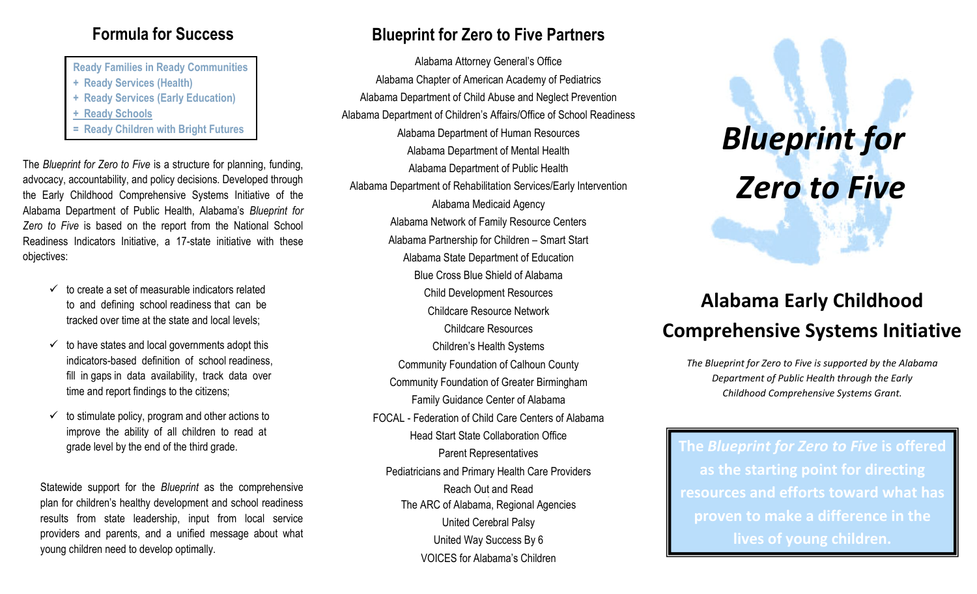#### **Formula for Success**

**Ready Families in Ready Communities + Ready Services (Health) + Ready Services (Early Education) + Ready Schools** 

The *Blueprint for Zero to Five* is a structure for planning, funding, advocacy, accountability, and policy decisions. Developed through the Early Childhood Comprehensive Systems Initiative of the Alabama Department of Public Health, Alabama's *Blueprint for Zero to Five* is based on the report from the National School Readiness Indicators Initiative, a 17-state initiative with these objectives:

- $\checkmark$  to create a set of measurable indicators related to and defining school readiness that can be tracked over time at the state and local levels;
- to have states and local governments adopt this indicators-based definition of school readiness, fill in gaps in data availability, track data over time and report findings to the citizens;
- to stimulate policy, program and other actions to improve the ability of all children to read at grade level by the end of the third grade.

Statewide support for the *Blueprint* as the comprehensive plan for children's healthy development and school readiness results from state leadership, input from local service providers and parents, and a unified message about what young children need to develop optimally.

#### **Blueprint for Zero to Five Partners**

Alabama Attorney General's Office Alabama Chapter of American Academy of Pediatrics Alabama Department of Child Abuse and Neglect Prevention Alabama Department of Children's Affairs/Office of School Readiness Alabama Department of Human Resources Alabama Department of Mental Health Alabama Department of Public Health Alabama Department of Rehabilitation Services/Early Intervention Alabama Medicaid Agency Alabama Network of Family Resource Centers Alabama Partnership for Children – Smart Start Alabama State Department of Education Blue Cross Blue Shield of Alabama Child Development Resources Childcare Resource Network Childcare Resources Children's Health Systems Community Foundation of Calhoun County Community Foundation of Greater Birmingham Family Guidance Center of Alabama FOCAL - Federation of Child Care Centers of Alabama Head Start State Collaboration Office Parent Representatives Pediatricians and Primary Health Care Providers Reach Out and Read The ARC of Alabama, Regional Agencies United Cerebral Palsy United Way Success By 6 VOICES for Alabama's Children Fready Children with Bright Futures<br>Alabama Department of Human Resources<br>Alabama Department of Mental Health

# *Zero to Five*

#### **Alabama Early Childhood Comprehensive Systems Initiative**

*The Blueprint for Zero to Five is supported by the Alabama Department of Public Health through the Early Childhood Comprehensive Systems Grant.*

**The** *Blueprint for Zero to Five* **is offered as the starting point for directing resources and efforts toward what has proven to make a difference in the lives of young children.**